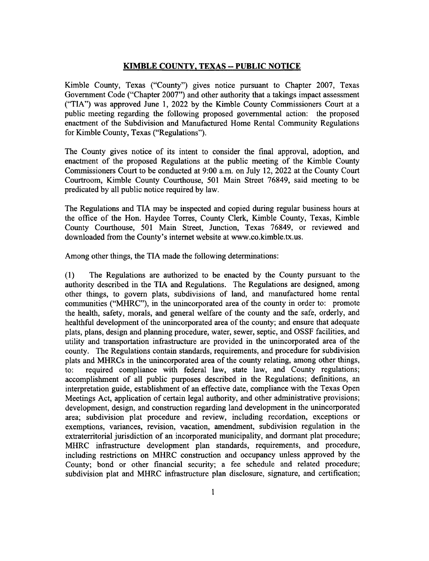## KIMBLE COUNTY, TEXAS -- PUBLIC NOTICE

Kimble County, Texas ("County") gives notice pursuant to Chapter 2007, Texas Government Code ("Chapter 2007") and other authority that a takings impact assessment ("TIA") was approved June 1, 2022 by the Kimble County Commissioners Court at a public meeting regarding the following proposed governmental action: the proposed enactment of the Subdivision and Manufactured Home Rental Community Regulations for Kimble County, Texas ("Regulations").

The County gives notice of its intent to consider the final approval, adoption, and enactment of the proposed Regulations at the public meeting of the Kimble County Commissioners Court to be conducted at 9:00 a.m. on July 12,2022 at the County Court Courtroom, Kimble County Courthouse, 501 Main Street 76849, said meeting to be predicated by all public notice required by law.

The Regulations and TIA may be inspected and copied during regular business hours at the office of the Hon. Haydee Torres, County Clerk, Kimble County, Texas, Kimble County Courthouse, 501 Main Street, Junction, Texas 76849, or reviewed and downloaded from the County's internet website at www.co.kimble.tx.us.

Among other things, the TIA made the following determinations:

(l) The Regulations are authorized, to be enacted by the County pursuant to the authority described in the TIA and Regulations. The Regulations are designed, among other things, to govern plats, subdivisions of land, and manufactured home rental communities ("MHRC"), in the unincorporated area of the county in order to: promote the health, safety, morals, and general welfare of the county and the safe, orderly, and healthful development of the unincorporated area of the county; and ensure that adequate plats, plans, design and planning procedure, water, sewer, septic, and OSSF facilities, and utility and transportation infrastructure are provided in the unincorporated area of the county. The Regulations contain standards, requirements, and procedure for subdivision plats and MHRCs in the unincorporated area of the county relating, among other things, to: required compliance with federal law, state law, and County regulations; accomplishment of all public purposes described in the Regulations; definitions, an interpretation guide, establishment of an effective date, compliance with the Texas Open Meetings Act, application of certain legal authority, and other administrative provisions; development, design, and construction regarding land development in the unincorporated area; subdivision plat procedure and review, including recordation, exceptions or exemptions, variances, revision, vacation, amendment, subdivision regulation in the extraterritorial jurisdiction of an incorporated municipality, and dormant plat procedure; MHRC infrastructure development plan standards, requirements, and procedure, including restrictions on MHRC construction and occupancy unless approved by the County; bond or other financial security; a fee schedule and related procedure; subdivision plat and MHRC infrastructure plan disclosure, signature, and certification;